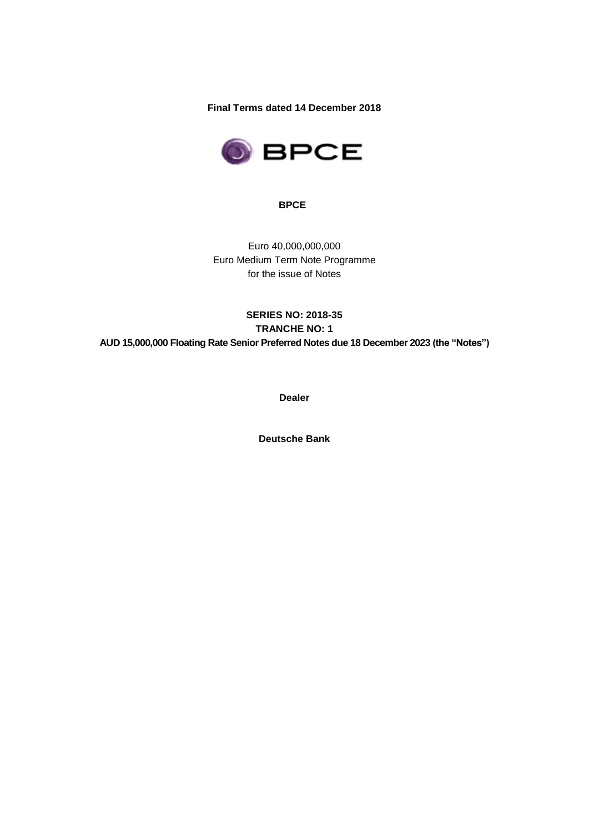**Final Terms dated 14 December 2018**



**BPCE**

Euro 40,000,000,000 Euro Medium Term Note Programme for the issue of Notes

# **SERIES NO: 2018-35 TRANCHE NO: 1 AUD 15,000,000 Floating Rate Senior Preferred Notes due 18 December 2023 (the "Notes")**

**Dealer**

**Deutsche Bank**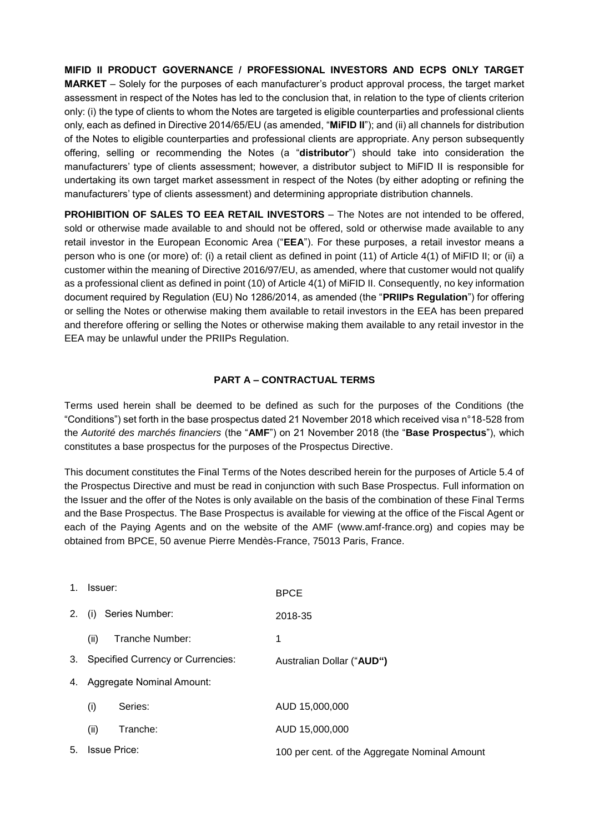**MIFID II PRODUCT GOVERNANCE / PROFESSIONAL INVESTORS AND ECPS ONLY TARGET MARKET** – Solely for the purposes of each manufacturer's product approval process, the target market assessment in respect of the Notes has led to the conclusion that, in relation to the type of clients criterion only: (i) the type of clients to whom the Notes are targeted is eligible counterparties and professional clients only, each as defined in Directive 2014/65/EU (as amended, "**MiFID II**"); and (ii) all channels for distribution of the Notes to eligible counterparties and professional clients are appropriate. Any person subsequently offering, selling or recommending the Notes (a "**distributor**") should take into consideration the manufacturers' type of clients assessment; however, a distributor subject to MiFID II is responsible for undertaking its own target market assessment in respect of the Notes (by either adopting or refining the manufacturers' type of clients assessment) and determining appropriate distribution channels.

**PROHIBITION OF SALES TO EEA RETAIL INVESTORS** – The Notes are not intended to be offered, sold or otherwise made available to and should not be offered, sold or otherwise made available to any retail investor in the European Economic Area ("**EEA**"). For these purposes, a retail investor means a person who is one (or more) of: (i) a retail client as defined in point (11) of Article 4(1) of MiFID II; or (ii) a customer within the meaning of Directive 2016/97/EU, as amended, where that customer would not qualify as a professional client as defined in point (10) of Article 4(1) of MiFID II. Consequently, no key information document required by Regulation (EU) No 1286/2014, as amended (the "**PRIIPs Regulation**") for offering or selling the Notes or otherwise making them available to retail investors in the EEA has been prepared and therefore offering or selling the Notes or otherwise making them available to any retail investor in the EEA may be unlawful under the PRIIPs Regulation.

### **PART A – CONTRACTUAL TERMS**

Terms used herein shall be deemed to be defined as such for the purposes of the Conditions (the "Conditions") set forth in the base prospectus dated 21 November 2018 which received visa n°18-528 from the *Autorité des marchés financiers* (the "**AMF**") on 21 November 2018 (the "**Base Prospectus**"), which constitutes a base prospectus for the purposes of the Prospectus Directive.

This document constitutes the Final Terms of the Notes described herein for the purposes of Article 5.4 of the Prospectus Directive and must be read in conjunction with such Base Prospectus. Full information on the Issuer and the offer of the Notes is only available on the basis of the combination of these Final Terms and the Base Prospectus. The Base Prospectus is available for viewing at the office of the Fiscal Agent or each of the Paying Agents and on the website of the AMF (www.amf-france.org) and copies may be obtained from BPCE, 50 avenue Pierre Mendès-France, 75013 Paris, France.

| $1_{-}$ | Issuer:                              | <b>BPCE</b>                                   |
|---------|--------------------------------------|-----------------------------------------------|
| 2.      | Series Number:<br>(i)                | 2018-35                                       |
|         | (ii)<br>Tranche Number:              | 1                                             |
|         | 3. Specified Currency or Currencies: | Australian Dollar ("AUD")                     |
| 4.      | Aggregate Nominal Amount:            |                                               |
|         | (i)<br>Series:                       | AUD 15,000,000                                |
|         | (ii)<br>Tranche:                     | AUD 15,000,000                                |
| 5.      | <b>Issue Price:</b>                  | 100 per cent. of the Aggregate Nominal Amount |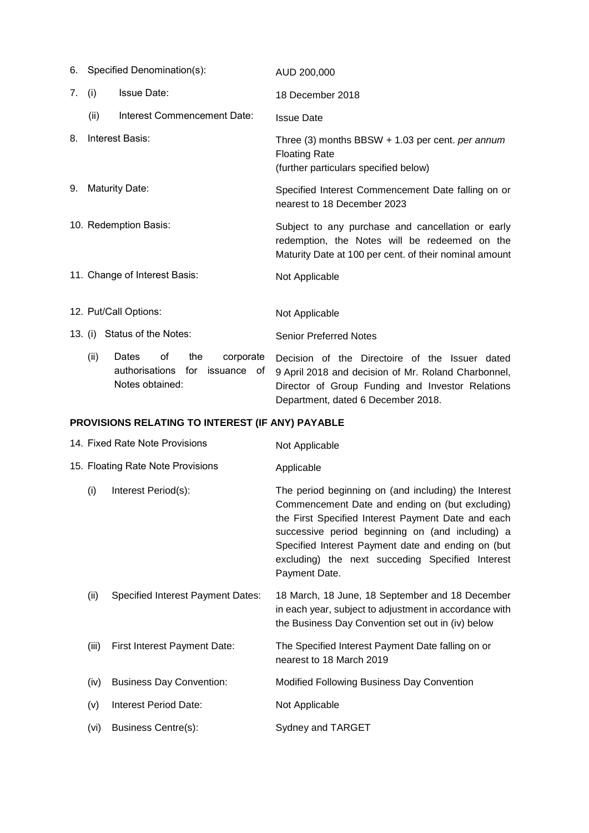|    | 6. Specified Denomination(s): |                               |     | AUD 200,000                                                                                                         |                                                                                                                                                              |
|----|-------------------------------|-------------------------------|-----|---------------------------------------------------------------------------------------------------------------------|--------------------------------------------------------------------------------------------------------------------------------------------------------------|
| 7. | (i)                           | <b>Issue Date:</b>            |     |                                                                                                                     | 18 December 2018                                                                                                                                             |
|    | (ii)                          | Interest Commencement Date:   |     |                                                                                                                     | <b>Issue Date</b>                                                                                                                                            |
| 8. | Interest Basis:               |                               |     | Three $(3)$ months BBSW + 1.03 per cent. per annum<br><b>Floating Rate</b><br>(further particulars specified below) |                                                                                                                                                              |
| 9. | <b>Maturity Date:</b>         |                               |     |                                                                                                                     | Specified Interest Commencement Date falling on or<br>nearest to 18 December 2023                                                                            |
|    | 10. Redemption Basis:         |                               |     |                                                                                                                     | Subject to any purchase and cancellation or early<br>redemption, the Notes will be redeemed on the<br>Maturity Date at 100 per cent. of their nominal amount |
|    | 11. Change of Interest Basis: |                               |     |                                                                                                                     | Not Applicable                                                                                                                                               |
|    | 12. Put/Call Options:         |                               |     |                                                                                                                     | Not Applicable                                                                                                                                               |
|    |                               | 13. (i) Status of the Notes:  |     |                                                                                                                     | <b>Senior Preferred Notes</b>                                                                                                                                |
|    | (ii)                          | Dates<br>of<br>authorisations | the | corporate<br>for issuance of                                                                                        | Decision of the Directoire of the Issuer dated<br>9 April 2018 and decision of Mr. Roland Charbonnel,                                                        |

Director of Group Funding and Investor Relations

Department, dated 6 December 2018.

# **PROVISIONS RELATING TO INTEREST (IF ANY) PAYABLE**

Notes obtained:

|                                   | 14. Fixed Rate Note Provisions           | Not Applicable                                                                                                                                                                                                                                                                                                                               |
|-----------------------------------|------------------------------------------|----------------------------------------------------------------------------------------------------------------------------------------------------------------------------------------------------------------------------------------------------------------------------------------------------------------------------------------------|
| 15. Floating Rate Note Provisions |                                          | Applicable                                                                                                                                                                                                                                                                                                                                   |
| (i)                               | Interest Period(s):                      | The period beginning on (and including) the Interest<br>Commencement Date and ending on (but excluding)<br>the First Specified Interest Payment Date and each<br>successive period beginning on (and including) a<br>Specified Interest Payment date and ending on (but<br>excluding) the next succeding Specified Interest<br>Payment Date. |
| (ii)                              | <b>Specified Interest Payment Dates:</b> | 18 March, 18 June, 18 September and 18 December<br>in each year, subject to adjustment in accordance with<br>the Business Day Convention set out in (iv) below                                                                                                                                                                               |
| (iii)                             | First Interest Payment Date:             | The Specified Interest Payment Date falling on or<br>nearest to 18 March 2019                                                                                                                                                                                                                                                                |
| (iv)                              | <b>Business Day Convention:</b>          | Modified Following Business Day Convention                                                                                                                                                                                                                                                                                                   |
| (v)                               | Interest Period Date:                    | Not Applicable                                                                                                                                                                                                                                                                                                                               |
| (vi)                              | Business Centre(s):                      | Sydney and TARGET                                                                                                                                                                                                                                                                                                                            |
|                                   |                                          |                                                                                                                                                                                                                                                                                                                                              |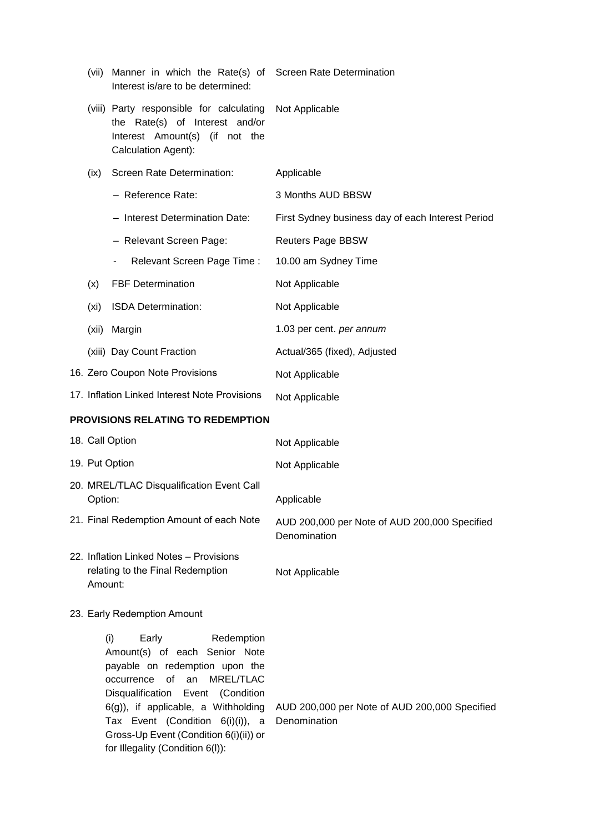|         | (vii) Manner in which the Rate(s) of Screen Rate Determination<br>Interest is/are to be determined:                                                                                                                                                                                                                                |                                                               |
|---------|------------------------------------------------------------------------------------------------------------------------------------------------------------------------------------------------------------------------------------------------------------------------------------------------------------------------------------|---------------------------------------------------------------|
|         | (viii) Party responsible for calculating<br>the Rate(s) of Interest and/or<br>Interest Amount(s) (if not the<br>Calculation Agent):                                                                                                                                                                                                | Not Applicable                                                |
| (ix)    | Screen Rate Determination:                                                                                                                                                                                                                                                                                                         | Applicable                                                    |
|         | - Reference Rate:                                                                                                                                                                                                                                                                                                                  | 3 Months AUD BBSW                                             |
|         | - Interest Determination Date:                                                                                                                                                                                                                                                                                                     | First Sydney business day of each Interest Period             |
|         | - Relevant Screen Page:                                                                                                                                                                                                                                                                                                            | <b>Reuters Page BBSW</b>                                      |
|         | Relevant Screen Page Time:<br>$\blacksquare$                                                                                                                                                                                                                                                                                       | 10.00 am Sydney Time                                          |
| (x)     | <b>FBF Determination</b>                                                                                                                                                                                                                                                                                                           | Not Applicable                                                |
| (xi)    | ISDA Determination:                                                                                                                                                                                                                                                                                                                | Not Applicable                                                |
| (xii)   | Margin                                                                                                                                                                                                                                                                                                                             | 1.03 per cent. per annum                                      |
|         | (xiii) Day Count Fraction                                                                                                                                                                                                                                                                                                          | Actual/365 (fixed), Adjusted                                  |
|         | 16. Zero Coupon Note Provisions                                                                                                                                                                                                                                                                                                    | Not Applicable                                                |
|         | 17. Inflation Linked Interest Note Provisions                                                                                                                                                                                                                                                                                      | Not Applicable                                                |
|         | PROVISIONS RELATING TO REDEMPTION                                                                                                                                                                                                                                                                                                  |                                                               |
|         | 18. Call Option                                                                                                                                                                                                                                                                                                                    | Not Applicable                                                |
|         | 19. Put Option                                                                                                                                                                                                                                                                                                                     | Not Applicable                                                |
| Option: | 20. MREL/TLAC Disqualification Event Call                                                                                                                                                                                                                                                                                          | Applicable                                                    |
|         | 21. Final Redemption Amount of each Note                                                                                                                                                                                                                                                                                           | AUD 200,000 per Note of AUD 200,000 Specified<br>Denomination |
| Amount: | 22. Inflation Linked Notes - Provisions<br>relating to the Final Redemption                                                                                                                                                                                                                                                        | Not Applicable                                                |
|         | 23. Early Redemption Amount                                                                                                                                                                                                                                                                                                        |                                                               |
|         | (i)<br>Early<br>Redemption<br>Amount(s) of each Senior Note<br>payable on redemption upon the<br>of an<br>MREL/TLAC<br>occurrence<br>Disqualification Event (Condition<br>$6(g)$ ), if applicable, a Withholding<br>Tax Event (Condition 6(i)(i)), a<br>Gross-Up Event (Condition 6(i)(ii)) or<br>for Illegality (Condition 6(I)): | AUD 200,000 per Note of AUD 200,000 Specified<br>Denomination |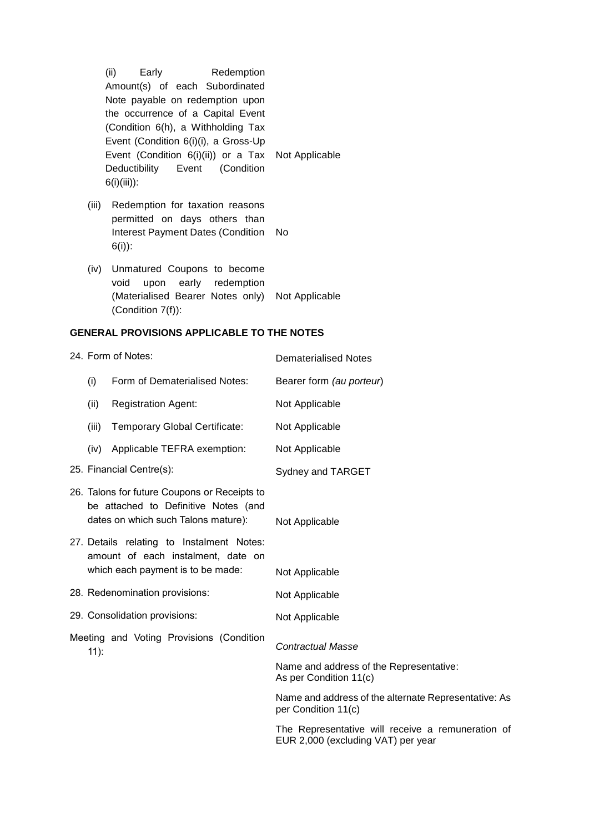(Condition 6(h), a Withholding Tax Event (Condition 6(i)(i), a Gross-Up Event (Condition 6(i)(ii)) or a Tax Deductibility Event (Condition 6(i)(iii)): Not Applicable (iii) Redemption for taxation reasons permitted on days others than Interest Payment Dates (Condition No 6(i)): (iv) Unmatured Coupons to become void upon early redemption (Materialised Bearer Notes only) Not Applicable (Condition 7(f)): **GENERAL PROVISIONS APPLICABLE TO THE NOTES** 24. Form of Notes: Dematerialised Notes (i) Form of Dematerialised Notes: Bearer form *(au porteur*) (ii) Registration Agent: Not Applicable (iii) Temporary Global Certificate: Not Applicable (iv) Applicable TEFRA exemption: Not Applicable 25. Financial Centre(s): Sydney and TARGET 26. Talons for future Coupons or Receipts to be attached to Definitive Notes (and dates on which such Talons mature): Not Applicable 27. Details relating to Instalment Notes: amount of each instalment, date on which each payment is to be made: Not Applicable 28. Redenomination provisions: Not Applicable 29. Consolidation provisions: Not Applicable Meeting and Voting Provisions (Condition 11): *Contractual Masse*  Name and address of the Representative: As per Condition 11(c) Name and address of the alternate Representative: As per Condition 11(c) The Representative will receive a remuneration of EUR 2,000 (excluding VAT) per year

(ii) Early Redemption Amount(s) of each Subordinated Note payable on redemption upon the occurrence of a Capital Event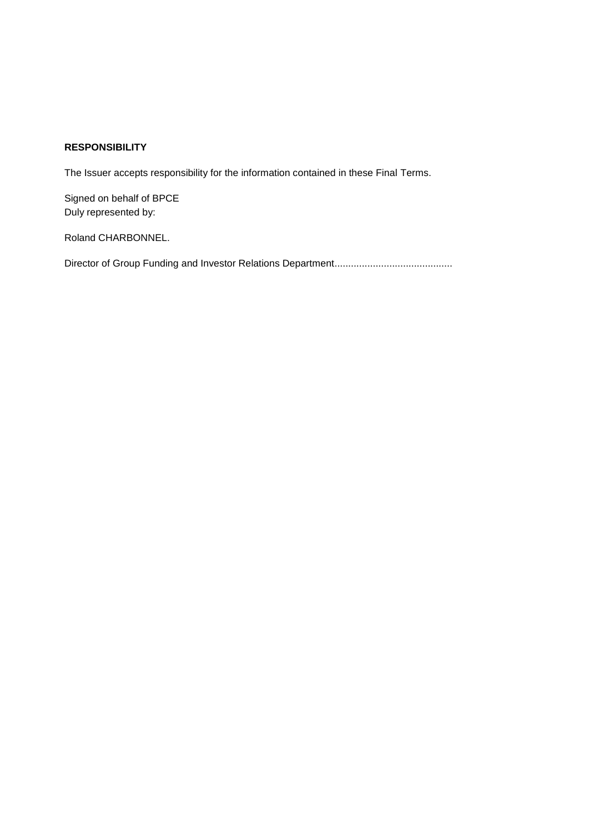## **RESPONSIBILITY**

The Issuer accepts responsibility for the information contained in these Final Terms.

Signed on behalf of BPCE Duly represented by:

Roland CHARBONNEL.

Director of Group Funding and Investor Relations Department...........................................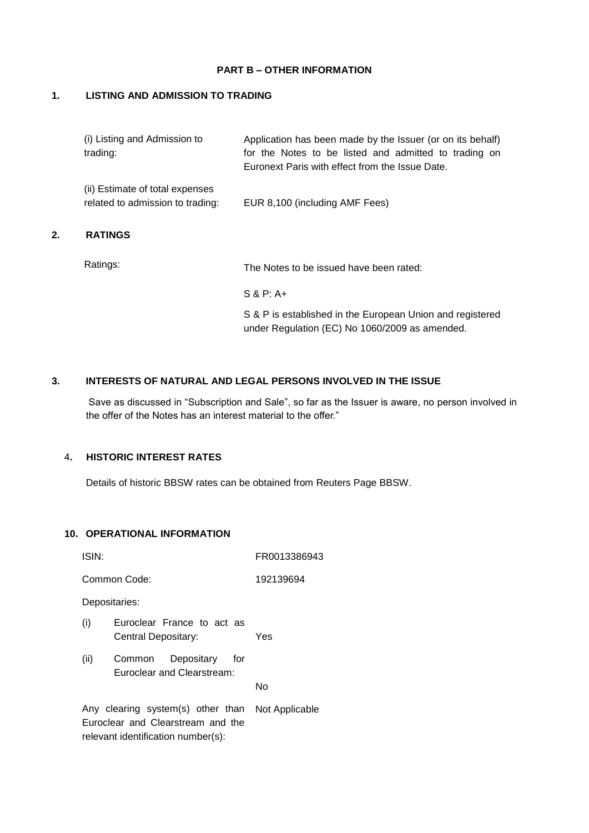### **PART B – OTHER INFORMATION**

### **1. LISTING AND ADMISSION TO TRADING**

| (i) Listing and Admission to<br>trading:                            | Application has been made by the Issuer (or on its behalf)<br>for the Notes to be listed and admitted to trading on<br>Euronext Paris with effect from the Issue Date. |
|---------------------------------------------------------------------|------------------------------------------------------------------------------------------------------------------------------------------------------------------------|
| (ii) Estimate of total expenses<br>related to admission to trading: | EUR 8,100 (including AMF Fees)                                                                                                                                         |
| <b>RATINGS</b>                                                      |                                                                                                                                                                        |
| Ratings:                                                            | The Notes to be issued have been rated:                                                                                                                                |
|                                                                     | $S & P: A+$                                                                                                                                                            |
|                                                                     | S & P is established in the European Union and registered<br>under Regulation (EC) No 1060/2009 as amended.                                                            |

### **3. INTERESTS OF NATURAL AND LEGAL PERSONS INVOLVED IN THE ISSUE**

Save as discussed in "Subscription and Sale", so far as the Issuer is aware, no person involved in the offer of the Notes has an interest material to the offer."

# 4**. HISTORIC INTEREST RATES**

**2. RATINGS**

Details of historic BBSW rates can be obtained from Reuters Page BBSW.

### **10. OPERATIONAL INFORMATION**

| ISIN:                                                                                                                       |                                                           | FR0013386943 |  |
|-----------------------------------------------------------------------------------------------------------------------------|-----------------------------------------------------------|--------------|--|
|                                                                                                                             | Common Code:<br>192139694                                 |              |  |
| Depositaries:                                                                                                               |                                                           |              |  |
| (i)                                                                                                                         | Euroclear France to act as<br>Central Depositary:         | Yes          |  |
| (ii)                                                                                                                        | Common<br>Depositary<br>for<br>Euroclear and Clearstream: | N٥           |  |
| Any clearing system(s) other than Not Applicable<br>Euroclear and Clearstream and the<br>relevant identification number(s): |                                                           |              |  |